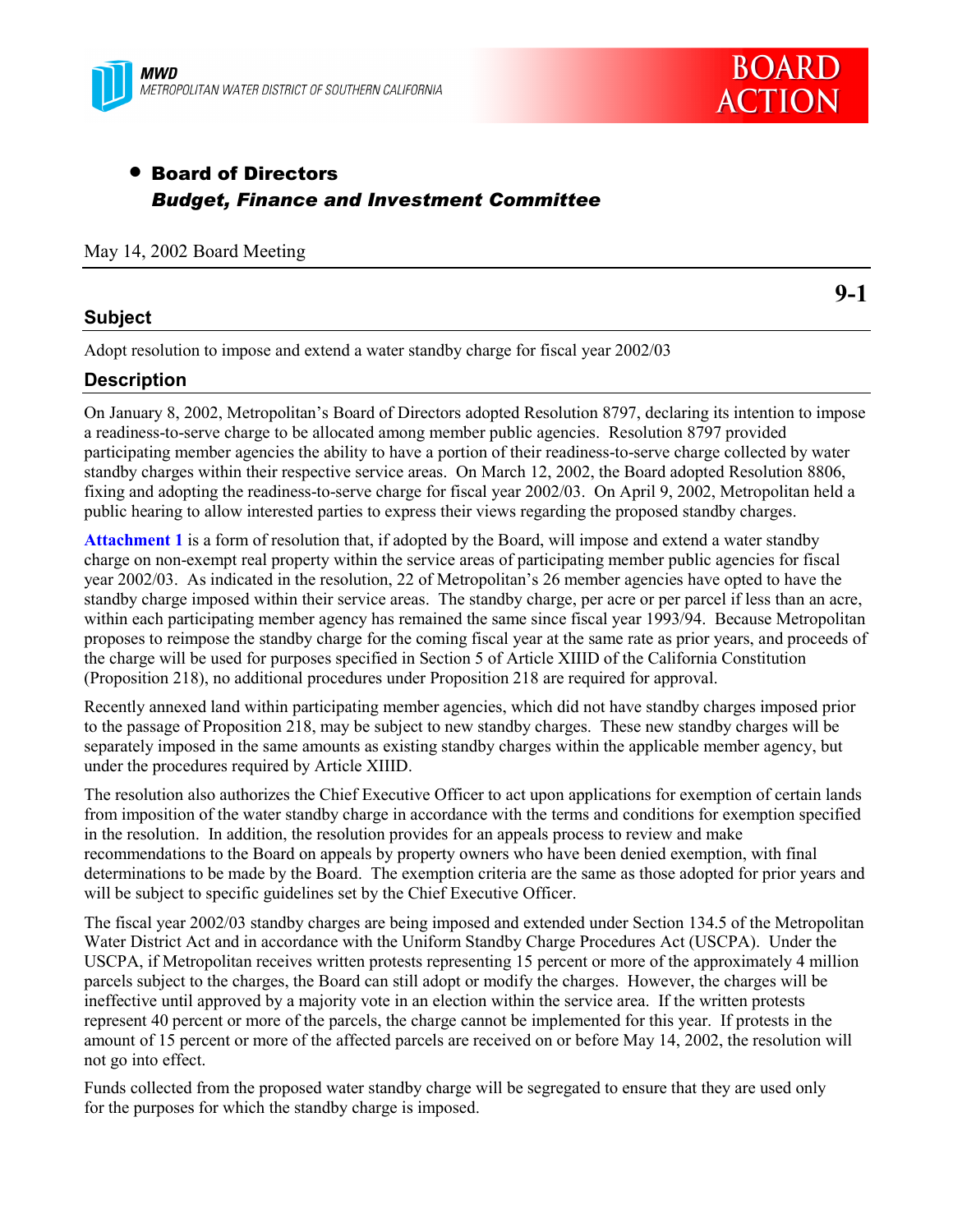



# • Board of Directors *Budget, Finance and Investment Committee*

### May 14, 2002 Board Meeting

# **Subject**

**9-1**

Adopt resolution to impose and extend a water standby charge for fiscal year 2002/03

# **Description**

On January 8, 2002, Metropolitan's Board of Directors adopted Resolution 8797, declaring its intention to impose a readiness-to-serve charge to be allocated among member public agencies. Resolution 8797 provided participating member agencies the ability to have a portion of their readiness-to-serve charge collected by water standby charges within their respective service areas. On March 12, 2002, the Board adopted Resolution 8806, fixing and adopting the readiness-to-serve charge for fiscal year 2002/03. On April 9, 2002, Metropolitan held a public hearing to allow interested parties to express their views regarding the proposed standby charges.

**Attachment 1** is a form of resolution that, if adopted by the Board, will impose and extend a water standby charge on non-exempt real property within the service areas of participating member public agencies for fiscal year 2002/03. As indicated in the resolution, 22 of Metropolitan's 26 member agencies have opted to have the standby charge imposed within their service areas. The standby charge, per acre or per parcel if less than an acre, within each participating member agency has remained the same since fiscal year 1993/94. Because Metropolitan proposes to reimpose the standby charge for the coming fiscal year at the same rate as prior years, and proceeds of the charge will be used for purposes specified in Section 5 of Article XIIID of the California Constitution (Proposition 218), no additional procedures under Proposition 218 are required for approval.

Recently annexed land within participating member agencies, which did not have standby charges imposed prior to the passage of Proposition 218, may be subject to new standby charges. These new standby charges will be separately imposed in the same amounts as existing standby charges within the applicable member agency, but under the procedures required by Article XIIID.

The resolution also authorizes the Chief Executive Officer to act upon applications for exemption of certain lands from imposition of the water standby charge in accordance with the terms and conditions for exemption specified in the resolution. In addition, the resolution provides for an appeals process to review and make recommendations to the Board on appeals by property owners who have been denied exemption, with final determinations to be made by the Board. The exemption criteria are the same as those adopted for prior years and will be subject to specific guidelines set by the Chief Executive Officer.

The fiscal year 2002/03 standby charges are being imposed and extended under Section 134.5 of the Metropolitan Water District Act and in accordance with the Uniform Standby Charge Procedures Act (USCPA). Under the USCPA, if Metropolitan receives written protests representing 15 percent or more of the approximately 4 million parcels subject to the charges, the Board can still adopt or modify the charges. However, the charges will be ineffective until approved by a majority vote in an election within the service area. If the written protests represent 40 percent or more of the parcels, the charge cannot be implemented for this year. If protests in the amount of 15 percent or more of the affected parcels are received on or before May 14, 2002, the resolution will not go into effect.

Funds collected from the proposed water standby charge will be segregated to ensure that they are used only for the purposes for which the standby charge is imposed.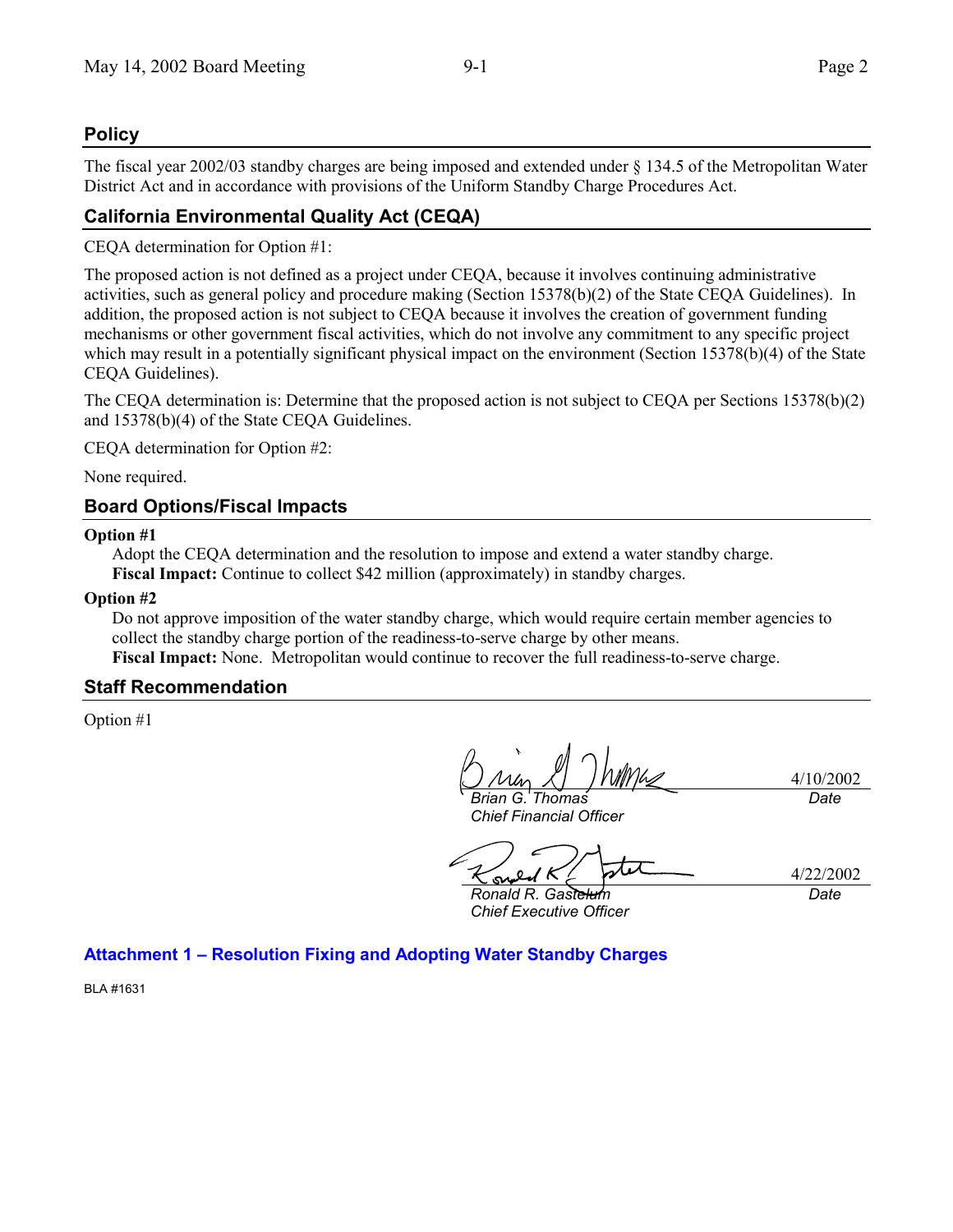# **Policy**

The fiscal year 2002/03 standby charges are being imposed and extended under § 134.5 of the Metropolitan Water District Act and in accordance with provisions of the Uniform Standby Charge Procedures Act.

# **California Environmental Quality Act (CEQA)**

CEQA determination for Option #1:

The proposed action is not defined as a project under CEQA, because it involves continuing administrative activities, such as general policy and procedure making (Section 15378(b)(2) of the State CEQA Guidelines). In addition, the proposed action is not subject to CEQA because it involves the creation of government funding mechanisms or other government fiscal activities, which do not involve any commitment to any specific project which may result in a potentially significant physical impact on the environment (Section 15378(b)(4) of the State CEQA Guidelines).

The CEQA determination is: Determine that the proposed action is not subject to CEQA per Sections 15378(b)(2) and 15378(b)(4) of the State CEQA Guidelines.

CEQA determination for Option #2:

None required.

# **Board Options/Fiscal Impacts**

### **Option #1**

Adopt the CEQA determination and the resolution to impose and extend a water standby charge. **Fiscal Impact:** Continue to collect \$42 million (approximately) in standby charges.

#### **Option #2**

Do not approve imposition of the water standby charge, which would require certain member agencies to collect the standby charge portion of the readiness-to-serve charge by other means. **Fiscal Impact:** None. Metropolitan would continue to recover the full readiness-to-serve charge.

## **Staff Recommendation**

Option #1

*Brian G. Thomas Chief Financial Officer*

4/10/2002 *Date*

ىمى

4/22/2002 *Date*

*Ronald R. Gastelum Chief Executive Officer*

**Attachment 1 – Resolution Fixing and Adopting Water Standby Charges**

BLA #1631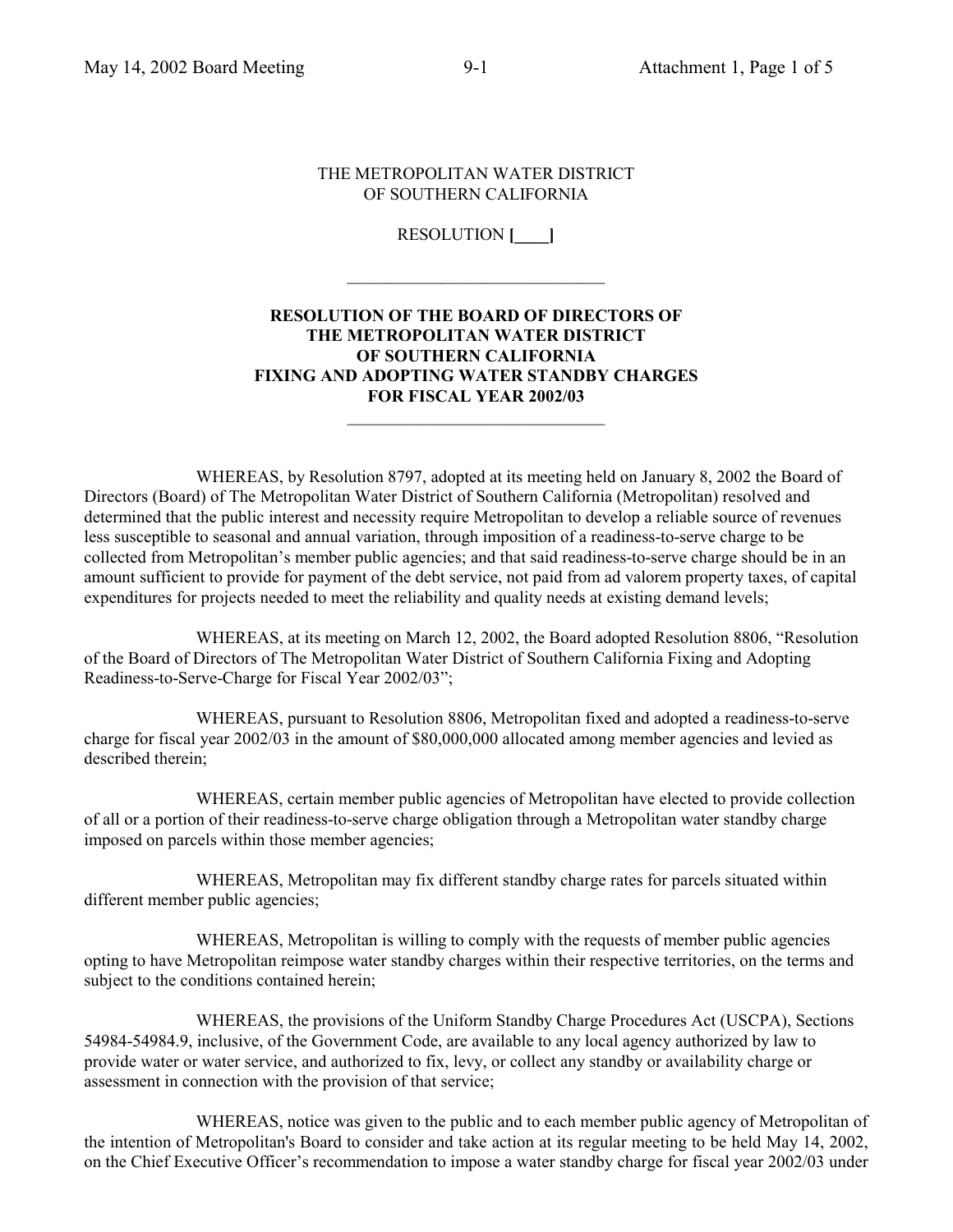#### THE METROPOLITAN WATER DISTRICT OF SOUTHERN CALIFORNIA

RESOLUTION **[\_\_\_\_]**

 $\mathcal{L}_\text{max}$  , where  $\mathcal{L}_\text{max}$  and  $\mathcal{L}_\text{max}$ 

## **RESOLUTION OF THE BOARD OF DIRECTORS OF THE METROPOLITAN WATER DISTRICT OF SOUTHERN CALIFORNIA FIXING AND ADOPTING WATER STANDBY CHARGES FOR FISCAL YEAR 2002/03**

WHEREAS, by Resolution 8797, adopted at its meeting held on January 8, 2002 the Board of Directors (Board) of The Metropolitan Water District of Southern California (Metropolitan) resolved and determined that the public interest and necessity require Metropolitan to develop a reliable source of revenues less susceptible to seasonal and annual variation, through imposition of a readiness-to-serve charge to be collected from Metropolitan's member public agencies; and that said readiness-to-serve charge should be in an amount sufficient to provide for payment of the debt service, not paid from ad valorem property taxes, of capital expenditures for projects needed to meet the reliability and quality needs at existing demand levels;

WHEREAS, at its meeting on March 12, 2002, the Board adopted Resolution 8806, "Resolution of the Board of Directors of The Metropolitan Water District of Southern California Fixing and Adopting Readiness-to-Serve-Charge for Fiscal Year 2002/03";

WHEREAS, pursuant to Resolution 8806, Metropolitan fixed and adopted a readiness-to-serve charge for fiscal year 2002/03 in the amount of \$80,000,000 allocated among member agencies and levied as described therein;

WHEREAS, certain member public agencies of Metropolitan have elected to provide collection of all or a portion of their readiness-to-serve charge obligation through a Metropolitan water standby charge imposed on parcels within those member agencies;

WHEREAS, Metropolitan may fix different standby charge rates for parcels situated within different member public agencies;

WHEREAS, Metropolitan is willing to comply with the requests of member public agencies opting to have Metropolitan reimpose water standby charges within their respective territories, on the terms and subject to the conditions contained herein;

WHEREAS, the provisions of the Uniform Standby Charge Procedures Act (USCPA), Sections 54984-54984.9, inclusive, of the Government Code, are available to any local agency authorized by law to provide water or water service, and authorized to fix, levy, or collect any standby or availability charge or assessment in connection with the provision of that service;

WHEREAS, notice was given to the public and to each member public agency of Metropolitan of the intention of Metropolitan's Board to consider and take action at its regular meeting to be held May 14, 2002, on the Chief Executive Officer's recommendation to impose a water standby charge for fiscal year 2002/03 under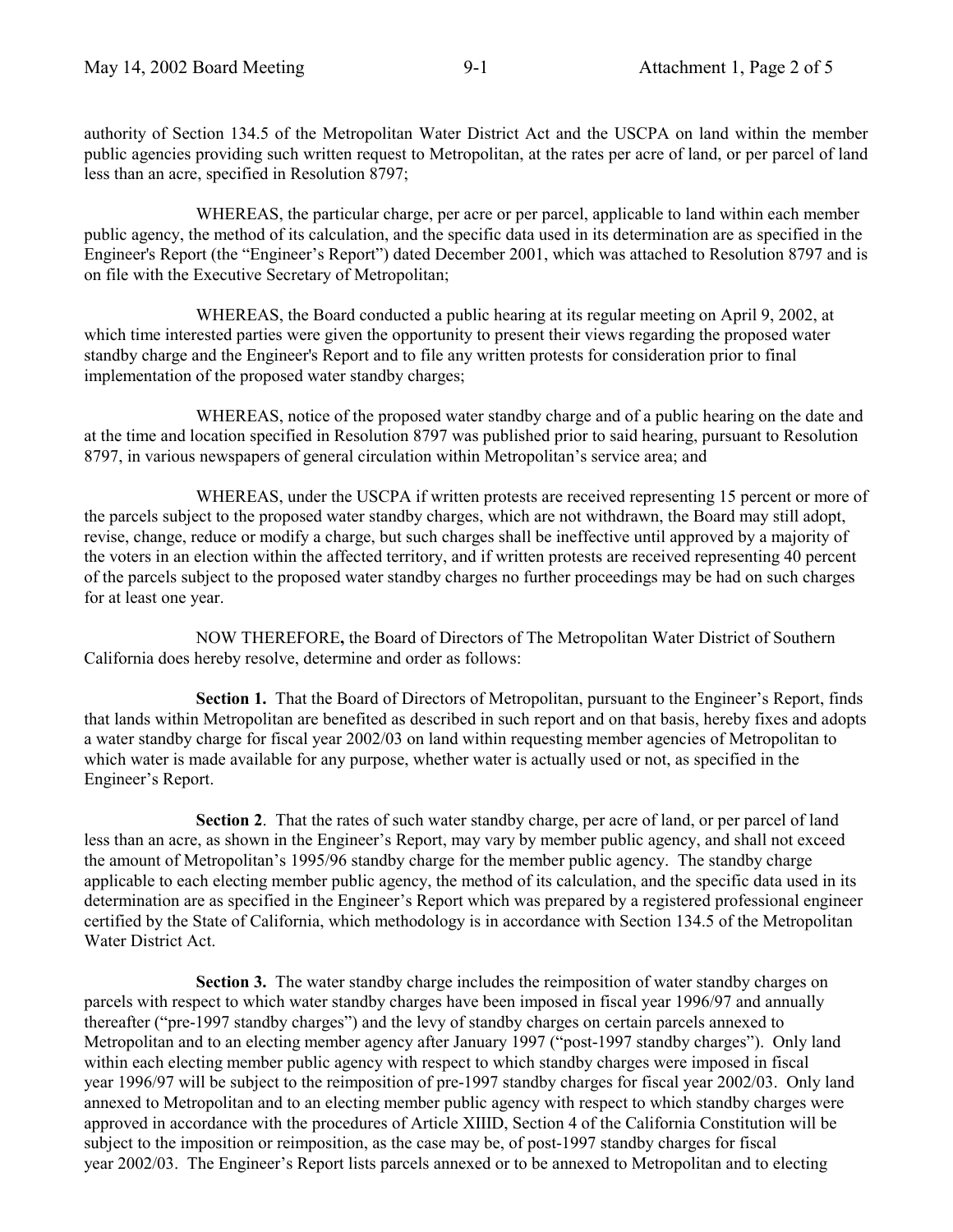authority of Section 134.5 of the Metropolitan Water District Act and the USCPA on land within the member public agencies providing such written request to Metropolitan, at the rates per acre of land, or per parcel of land less than an acre, specified in Resolution 8797;

WHEREAS, the particular charge, per acre or per parcel, applicable to land within each member public agency, the method of its calculation, and the specific data used in its determination are as specified in the Engineer's Report (the "Engineer's Report") dated December 2001, which was attached to Resolution 8797 and is on file with the Executive Secretary of Metropolitan;

WHEREAS, the Board conducted a public hearing at its regular meeting on April 9, 2002, at which time interested parties were given the opportunity to present their views regarding the proposed water standby charge and the Engineer's Report and to file any written protests for consideration prior to final implementation of the proposed water standby charges;

WHEREAS, notice of the proposed water standby charge and of a public hearing on the date and at the time and location specified in Resolution 8797 was published prior to said hearing, pursuant to Resolution 8797, in various newspapers of general circulation within Metropolitan's service area; and

WHEREAS, under the USCPA if written protests are received representing 15 percent or more of the parcels subject to the proposed water standby charges, which are not withdrawn, the Board may still adopt, revise, change, reduce or modify a charge, but such charges shall be ineffective until approved by a majority of the voters in an election within the affected territory, and if written protests are received representing 40 percent of the parcels subject to the proposed water standby charges no further proceedings may be had on such charges for at least one year.

NOW THEREFORE**,** the Board of Directors of The Metropolitan Water District of Southern California does hereby resolve, determine and order as follows:

**Section 1.** That the Board of Directors of Metropolitan, pursuant to the Engineer's Report, finds that lands within Metropolitan are benefited as described in such report and on that basis, hereby fixes and adopts a water standby charge for fiscal year 2002/03 on land within requesting member agencies of Metropolitan to which water is made available for any purpose, whether water is actually used or not, as specified in the Engineer's Report.

**Section 2**. That the rates of such water standby charge, per acre of land, or per parcel of land less than an acre, as shown in the Engineer's Report, may vary by member public agency, and shall not exceed the amount of Metropolitan's 1995/96 standby charge for the member public agency. The standby charge applicable to each electing member public agency, the method of its calculation, and the specific data used in its determination are as specified in the Engineer's Report which was prepared by a registered professional engineer certified by the State of California, which methodology is in accordance with Section 134.5 of the Metropolitan Water District Act.

**Section 3.** The water standby charge includes the reimposition of water standby charges on parcels with respect to which water standby charges have been imposed in fiscal year 1996/97 and annually thereafter ("pre-1997 standby charges") and the levy of standby charges on certain parcels annexed to Metropolitan and to an electing member agency after January 1997 ("post-1997 standby charges"). Only land within each electing member public agency with respect to which standby charges were imposed in fiscal year 1996/97 will be subject to the reimposition of pre-1997 standby charges for fiscal year 2002/03. Only land annexed to Metropolitan and to an electing member public agency with respect to which standby charges were approved in accordance with the procedures of Article XIIID, Section 4 of the California Constitution will be subject to the imposition or reimposition, as the case may be, of post-1997 standby charges for fiscal year 2002/03. The Engineer's Report lists parcels annexed or to be annexed to Metropolitan and to electing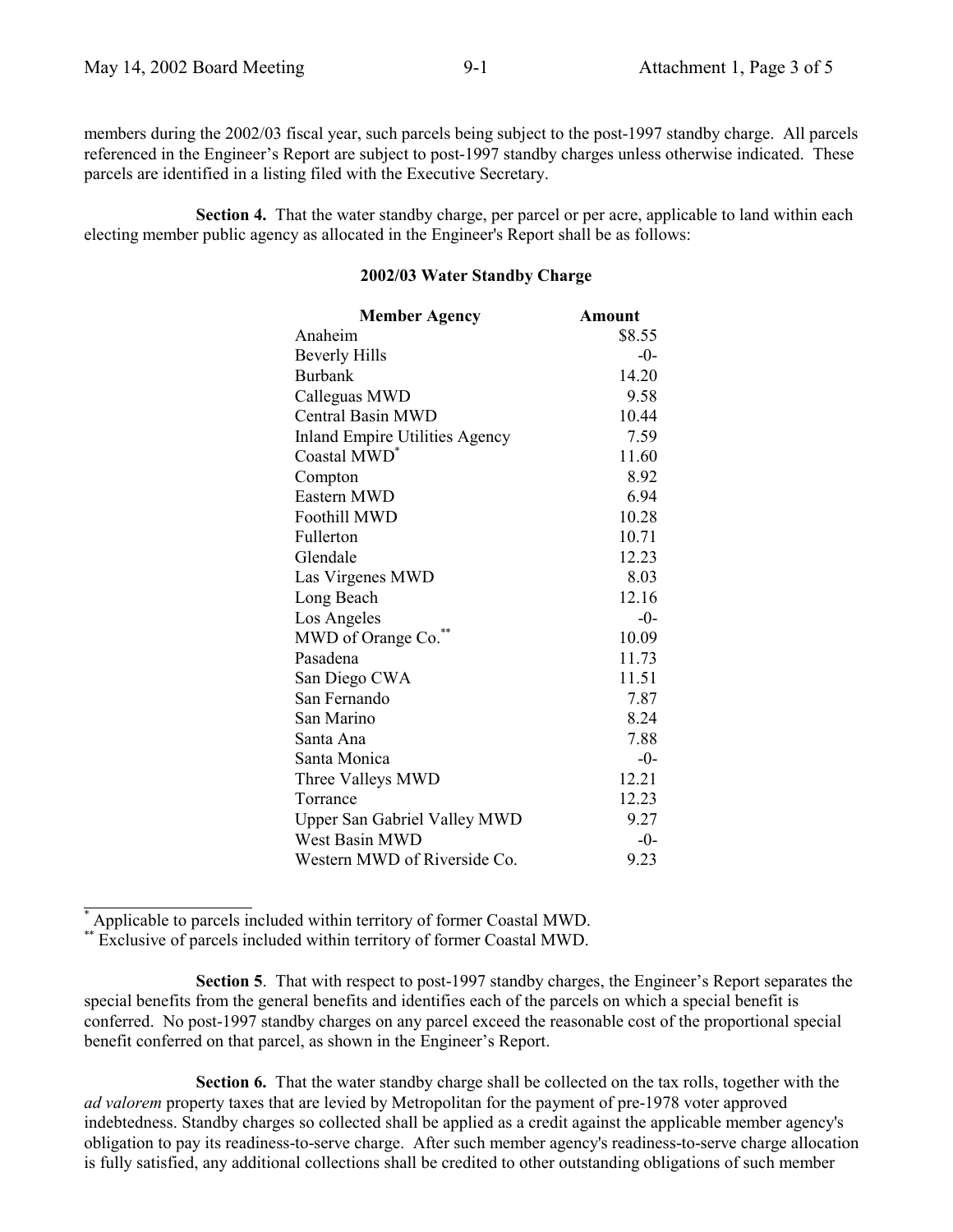members during the 2002/03 fiscal year, such parcels being subject to the post-1997 standby charge. All parcels referenced in the Engineer's Report are subject to post-1997 standby charges unless otherwise indicated. These parcels are identified in a listing filed with the Executive Secretary.

**Section 4.** That the water standby charge, per parcel or per acre, applicable to land within each electing member public agency as allocated in the Engineer's Report shall be as follows:

| <b>Member Agency</b>                  | <b>Amount</b> |
|---------------------------------------|---------------|
| Anaheim                               | \$8.55        |
| <b>Beverly Hills</b>                  | $-0-$         |
| Burbank                               | 14.20         |
| Calleguas MWD                         | 9.58          |
| <b>Central Basin MWD</b>              | 10.44         |
| <b>Inland Empire Utilities Agency</b> | 7.59          |
| Coastal MWD <sup>*</sup>              | 11.60         |
| Compton                               | 8.92          |
| Eastern MWD                           | 6.94          |
| Foothill MWD                          | 10.28         |
| Fullerton                             | 10.71         |
| Glendale                              | 12.23         |
| Las Virgenes MWD                      | 8.03          |
| Long Beach                            | 12.16         |
| Los Angeles                           | $-0-$         |
| MWD of Orange Co.**                   | 10.09         |
| Pasadena                              | 11.73         |
| San Diego CWA                         | 11.51         |
| San Fernando                          | 7.87          |
| San Marino                            | 8.24          |
| Santa Ana                             | 7.88          |
| Santa Monica                          | $-0-$         |
| Three Valleys MWD                     | 12.21         |
| Torrance                              | 12.23         |
| <b>Upper San Gabriel Valley MWD</b>   | 9.27          |
| West Basin MWD                        | $-0-$         |
| Western MWD of Riverside Co.          | 9.23          |

#### **2002/03 Water Standby Charge**

\* Applicable to parcels included within territory of former Coastal MWD.

l

**Section 5**. That with respect to post-1997 standby charges, the Engineer's Report separates the special benefits from the general benefits and identifies each of the parcels on which a special benefit is conferred. No post-1997 standby charges on any parcel exceed the reasonable cost of the proportional special benefit conferred on that parcel, as shown in the Engineer's Report.

**Section 6.** That the water standby charge shall be collected on the tax rolls, together with the *ad valorem* property taxes that are levied by Metropolitan for the payment of pre-1978 voter approved indebtedness. Standby charges so collected shall be applied as a credit against the applicable member agency's obligation to pay its readiness-to-serve charge. After such member agency's readiness-to-serve charge allocation is fully satisfied, any additional collections shall be credited to other outstanding obligations of such member

<sup>\*\*</sup> Exclusive of parcels included within territory of former Coastal MWD.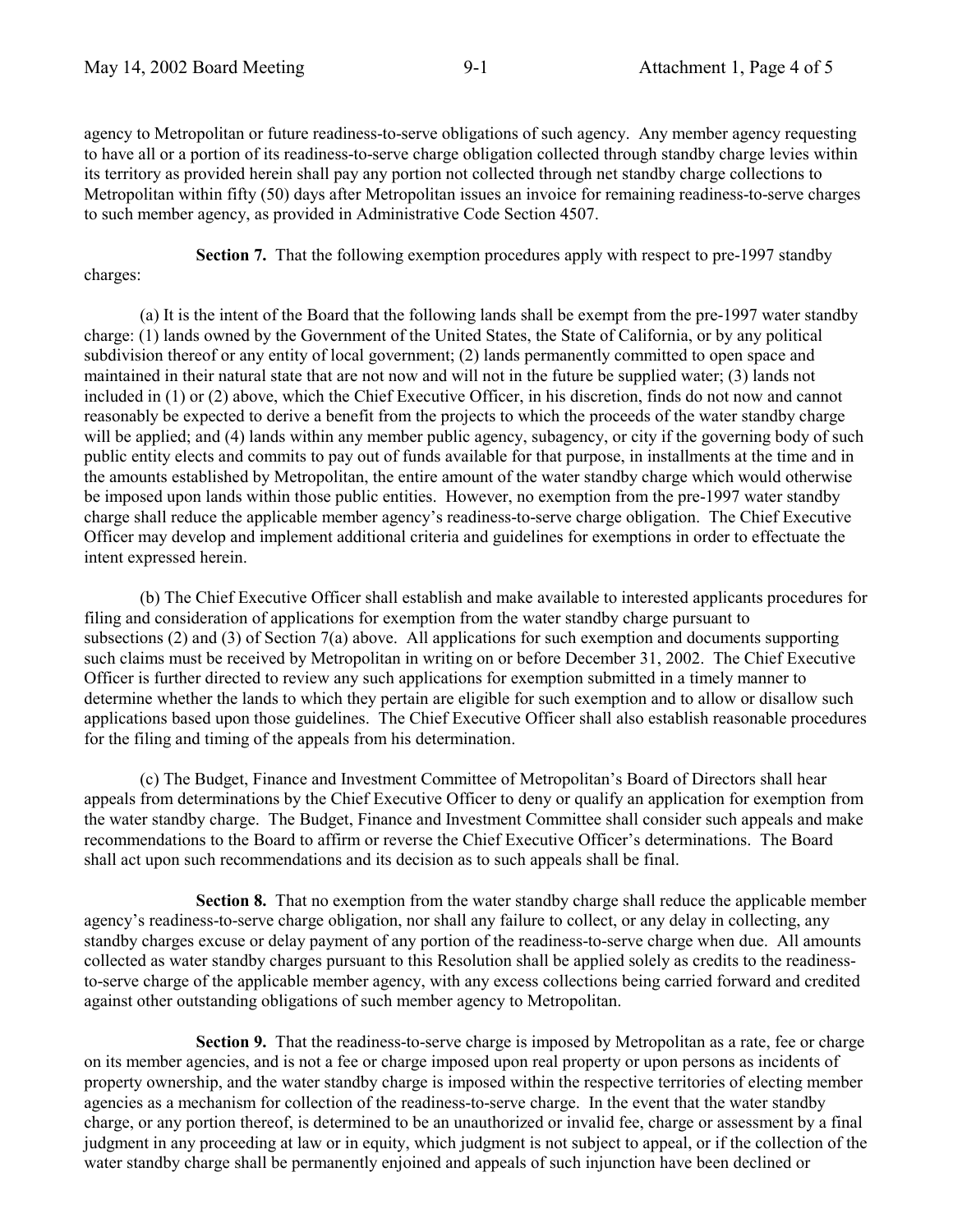agency to Metropolitan or future readiness-to-serve obligations of such agency. Any member agency requesting to have all or a portion of its readiness-to-serve charge obligation collected through standby charge levies within its territory as provided herein shall pay any portion not collected through net standby charge collections to Metropolitan within fifty (50) days after Metropolitan issues an invoice for remaining readiness-to-serve charges to such member agency, as provided in Administrative Code Section 4507.

**Section 7.** That the following exemption procedures apply with respect to pre-1997 standby

#### charges:

(a) It is the intent of the Board that the following lands shall be exempt from the pre-1997 water standby charge: (1) lands owned by the Government of the United States, the State of California, or by any political subdivision thereof or any entity of local government; (2) lands permanently committed to open space and maintained in their natural state that are not now and will not in the future be supplied water; (3) lands not included in (1) or (2) above, which the Chief Executive Officer, in his discretion, finds do not now and cannot reasonably be expected to derive a benefit from the projects to which the proceeds of the water standby charge will be applied; and (4) lands within any member public agency, subagency, or city if the governing body of such public entity elects and commits to pay out of funds available for that purpose, in installments at the time and in the amounts established by Metropolitan, the entire amount of the water standby charge which would otherwise be imposed upon lands within those public entities. However, no exemption from the pre-1997 water standby charge shall reduce the applicable member agency's readiness-to-serve charge obligation. The Chief Executive Officer may develop and implement additional criteria and guidelines for exemptions in order to effectuate the intent expressed herein.

(b) The Chief Executive Officer shall establish and make available to interested applicants procedures for filing and consideration of applications for exemption from the water standby charge pursuant to subsections (2) and (3) of Section 7(a) above. All applications for such exemption and documents supporting such claims must be received by Metropolitan in writing on or before December 31, 2002. The Chief Executive Officer is further directed to review any such applications for exemption submitted in a timely manner to determine whether the lands to which they pertain are eligible for such exemption and to allow or disallow such applications based upon those guidelines. The Chief Executive Officer shall also establish reasonable procedures for the filing and timing of the appeals from his determination.

(c) The Budget, Finance and Investment Committee of Metropolitan's Board of Directors shall hear appeals from determinations by the Chief Executive Officer to deny or qualify an application for exemption from the water standby charge. The Budget, Finance and Investment Committee shall consider such appeals and make recommendations to the Board to affirm or reverse the Chief Executive Officer's determinations. The Board shall act upon such recommendations and its decision as to such appeals shall be final.

**Section 8.** That no exemption from the water standby charge shall reduce the applicable member agency's readiness-to-serve charge obligation, nor shall any failure to collect, or any delay in collecting, any standby charges excuse or delay payment of any portion of the readiness-to-serve charge when due. All amounts collected as water standby charges pursuant to this Resolution shall be applied solely as credits to the readinessto-serve charge of the applicable member agency, with any excess collections being carried forward and credited against other outstanding obligations of such member agency to Metropolitan.

**Section 9.** That the readiness-to-serve charge is imposed by Metropolitan as a rate, fee or charge on its member agencies, and is not a fee or charge imposed upon real property or upon persons as incidents of property ownership, and the water standby charge is imposed within the respective territories of electing member agencies as a mechanism for collection of the readiness-to-serve charge. In the event that the water standby charge, or any portion thereof, is determined to be an unauthorized or invalid fee, charge or assessment by a final judgment in any proceeding at law or in equity, which judgment is not subject to appeal, or if the collection of the water standby charge shall be permanently enjoined and appeals of such injunction have been declined or